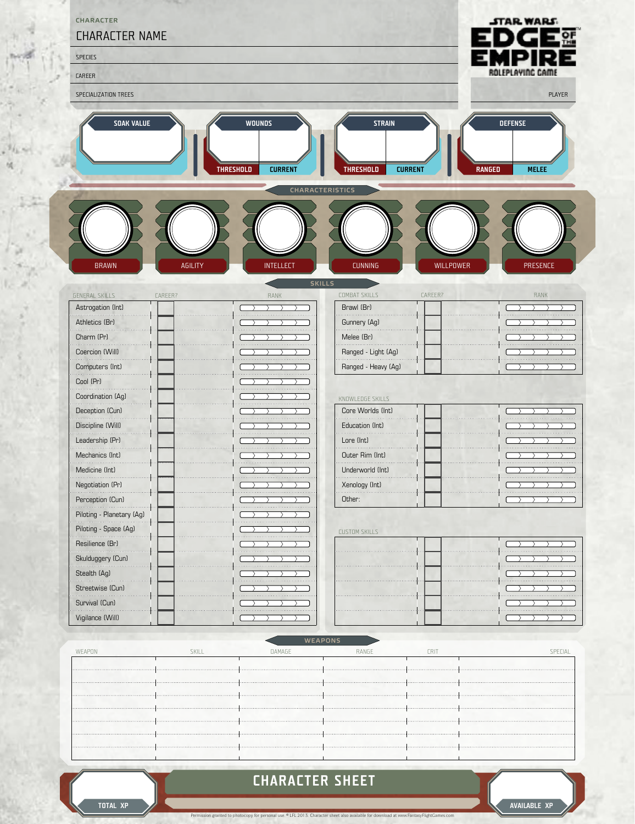

ü

## **CHARACTER SHEET**

nal use. <sup>©</sup> LFL 2013. Cha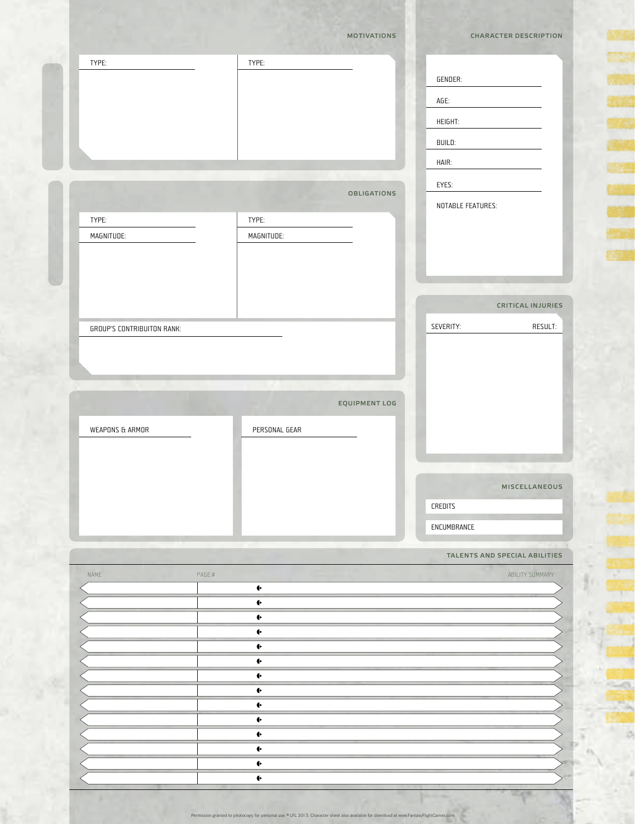|                                   | <b>MOTIVATIONS</b>                 | <b>CHARACTER DESCRIPTION</b>  |
|-----------------------------------|------------------------------------|-------------------------------|
| TYPE:                             | TYPE:                              | GENDER:                       |
|                                   |                                    | AGE:                          |
|                                   |                                    |                               |
|                                   |                                    | HEIGHT:                       |
|                                   |                                    | BUILD:                        |
|                                   |                                    | HAIR:                         |
|                                   | <b>OBLIGATIONS</b>                 | EYES:                         |
|                                   |                                    | NOTABLE FEATURES:             |
| TYPE:                             | TYPE:                              |                               |
| MAGNITUDE:                        | MAGNITUDE:                         |                               |
|                                   |                                    |                               |
|                                   |                                    |                               |
|                                   |                                    | <b>CRITICAL INJURIES</b>      |
|                                   |                                    |                               |
| <b>GROUP'S CONTRIBUITON RANK:</b> |                                    | SEVERITY:<br>RESULT:          |
|                                   |                                    |                               |
|                                   |                                    |                               |
|                                   |                                    |                               |
|                                   | EQUIPMENT LOG                      |                               |
|                                   | PERSONAL GEAR                      |                               |
| WEAPONS & ARMOR                   |                                    |                               |
|                                   |                                    |                               |
|                                   |                                    | MISCELLANEOUS                 |
|                                   |                                    | CREDITS                       |
|                                   |                                    | ENCUMBRANCE                   |
|                                   |                                    |                               |
|                                   |                                    | TALENTS AND SPECIAL ABILITIES |
|                                   | PAGE #<br>$\blacklozenge$          | ABILITY SUMMARY               |
|                                   | $\blacklozenge$                    |                               |
|                                   | ◆                                  |                               |
|                                   | ←                                  |                               |
|                                   | $\blacklozenge$                    |                               |
|                                   | $\blacklozenge$<br>$\blacklozenge$ |                               |
|                                   | $\blacklozenge$                    |                               |
|                                   | $\blacklozenge$                    |                               |
|                                   | $\blacklozenge$                    |                               |
|                                   | $\blacklozenge$                    |                               |
| NAME                              | $\blacklozenge$<br>$\blacklozenge$ |                               |

Permission granted to photocopy for personal use. © LFL 2013. Character sheet also available for download at www.FantasyFlightGames.com